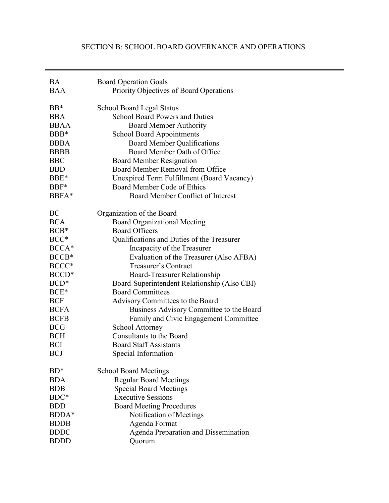# SECTION B: SCHOOL BOARD GOVERNANCE AND OPERATIONS

| <b>BA</b>   | <b>Board Operation Goals</b>                 |  |
|-------------|----------------------------------------------|--|
| <b>BAA</b>  | Priority Objectives of Board Operations      |  |
|             |                                              |  |
| $BB*$       | <b>School Board Legal Status</b>             |  |
| <b>BBA</b>  | <b>School Board Powers and Duties</b>        |  |
| <b>BBAA</b> | <b>Board Member Authority</b>                |  |
| BBB*        | <b>School Board Appointments</b>             |  |
| <b>BBBA</b> | <b>Board Member Qualifications</b>           |  |
| <b>BBBB</b> | Board Member Oath of Office                  |  |
| <b>BBC</b>  | <b>Board Member Resignation</b>              |  |
| <b>BBD</b>  | Board Member Removal from Office             |  |
| BBE*        | Unexpired Term Fulfillment (Board Vacancy)   |  |
| BBF*        | <b>Board Member Code of Ethics</b>           |  |
| BBFA*       | Board Member Conflict of Interest            |  |
| BC          | Organization of the Board                    |  |
| <b>BCA</b>  | <b>Board Organizational Meeting</b>          |  |
| $BCB*$      | <b>Board Officers</b>                        |  |
| BCC*        | Qualifications and Duties of the Treasurer   |  |
| BCCA*       | Incapacity of the Treasurer                  |  |
| BCCB*       | Evaluation of the Treasurer (Also AFBA)      |  |
| BCCC*       | <b>Treasurer's Contract</b>                  |  |
| BCCD*       | Board-Treasurer Relationship                 |  |
| BCD*        | Board-Superintendent Relationship (Also CBI) |  |
| BCE*        | <b>Board Committees</b>                      |  |
| <b>BCF</b>  | Advisory Committees to the Board             |  |
| <b>BCFA</b> | Business Advisory Committee to the Board     |  |
| <b>BCFB</b> | Family and Civic Engagement Committee        |  |
| <b>BCG</b>  | <b>School Attorney</b>                       |  |
| <b>BCH</b>  | <b>Consultants to the Board</b>              |  |
| <b>BCI</b>  | <b>Board Staff Assistants</b>                |  |
| <b>BCJ</b>  | Special Information                          |  |
|             |                                              |  |
| $BD^*$      | <b>School Board Meetings</b>                 |  |
| <b>BDA</b>  | <b>Regular Board Meetings</b>                |  |
| <b>BDB</b>  | <b>Special Board Meetings</b>                |  |
| BDC*        | <b>Executive Sessions</b>                    |  |
| <b>BDD</b>  | <b>Board Meeting Procedures</b>              |  |
| BDDA*       | Notification of Meetings                     |  |
| <b>BDDB</b> | Agenda Format                                |  |
| <b>BDDC</b> | <b>Agenda Preparation and Dissemination</b>  |  |
| <b>BDDD</b> | Quorum                                       |  |
|             |                                              |  |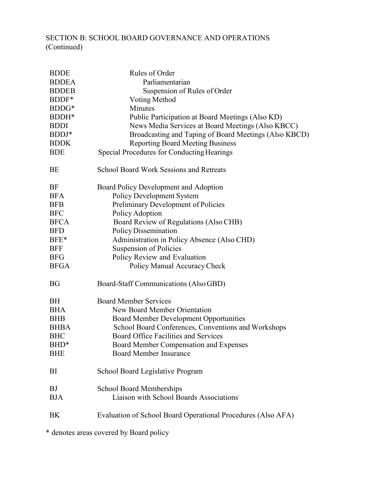# SECTION B: SCHOOL BOARD GOVERNANCE AND OPERATIONS (Continued)

| <b>BDDE</b>  | Rules of Order                                               |  |
|--------------|--------------------------------------------------------------|--|
| <b>BDDEA</b> | Parliamentarian                                              |  |
| <b>BDDEB</b> | Suspension of Rules of Order                                 |  |
| BDDF*        | Voting Method                                                |  |
| BDDG*        | Minutes                                                      |  |
| BDDH*        | Public Participation at Board Meetings (Also KD)             |  |
| <b>BDDI</b>  | News Media Services at Board Meetings (Also KBCC)            |  |
| BDDJ*        | Broadcasting and Taping of Board Meetings (Also KBCD)        |  |
| <b>BDDK</b>  | <b>Reporting Board Meeting Business</b>                      |  |
| <b>BDE</b>   | Special Procedures for Conducting Hearings                   |  |
| BE           | <b>School Board Work Sessions and Retreats</b>               |  |
| BF           | Board Policy Development and Adoption                        |  |
| <b>BFA</b>   | <b>Policy Development System</b>                             |  |
| <b>BFB</b>   | Preliminary Development of Policies                          |  |
| <b>BFC</b>   | Policy Adoption                                              |  |
| <b>BFCA</b>  | Board Review of Regulations (Also CHB)                       |  |
| <b>BFD</b>   | <b>Policy Dissemination</b>                                  |  |
| BFE*         | Administration in Policy Absence (Also CHD)                  |  |
| <b>BFF</b>   | Suspension of Policies                                       |  |
| <b>BFG</b>   | Policy Review and Evaluation                                 |  |
| <b>BFGA</b>  | Policy Manual Accuracy Check                                 |  |
| <b>BG</b>    | Board-Staff Communications (Also GBD)                        |  |
| BH           | <b>Board Member Services</b>                                 |  |
| <b>BHA</b>   | New Board Member Orientation                                 |  |
| <b>BHB</b>   | <b>Board Member Development Opportunities</b>                |  |
| <b>BHBA</b>  | School Board Conferences, Conventions and Workshops          |  |
| <b>BHC</b>   | Board Office Facilities and Services                         |  |
| BHD*         | Board Member Compensation and Expenses                       |  |
| <b>BHE</b>   | Board Member Insurance                                       |  |
| BI           | School Board Legislative Program                             |  |
| BJ           | <b>School Board Memberships</b>                              |  |
| <b>BJA</b>   | Liaison with School Boards Associations                      |  |
| BK           | Evaluation of School Board Operational Procedures (Also AFA) |  |
|              |                                                              |  |

\* denotes areas covered by Board policy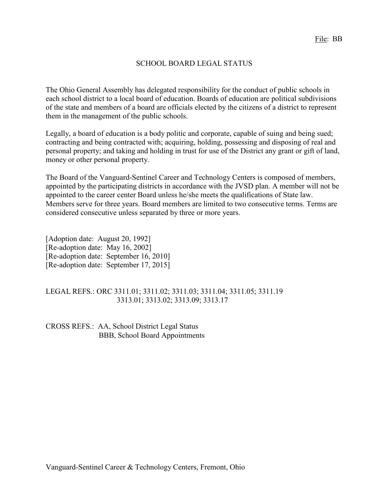### SCHOOL BOARD LEGAL STATUS

The Ohio General Assembly has delegated responsibility for the conduct of public schools in each school district to a local board of education. Boards of education are political subdivisions of the state and members of a board are officials elected by the citizens of a district to represent them in the management of the public schools.

Legally, a board of education is a body politic and corporate, capable of suing and being sued; contracting and being contracted with; acquiring, holding, possessing and disposing of real and personal property; and taking and holding in trust for use of the District any grant or gift of land, money or other personal property.

The Board of the Vanguard-Sentinel Career and Technology Centers is composed of members, appointed by the participating districts in accordance with the JVSD plan. A member will not be appointed to the career center Board unless he/she meets the qualifications of State law. Members serve for three years. Board members are limited to two consecutive terms. Terms are considered consecutive unless separated by three or more years.

[Adoption date: August 20, 1992] [Re-adoption date: May 16, 2002] [Re-adoption date: September 16, 2010] [Re-adoption date: September 17, 2015]

### LEGAL REFS.: ORC 3311.01; 3311.02; 3311.03; 3311.04; 3311.05; 3311.19 3313.01; 3313.02; 3313.09; 3313.17

CROSS REFS.: AA, School District Legal Status BBB, School Board Appointments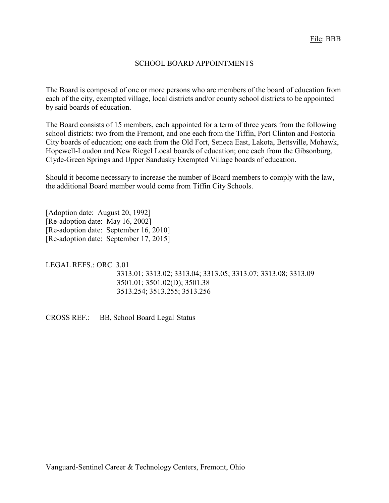### SCHOOL BOARD APPOINTMENTS

The Board is composed of one or more persons who are members of the board of education from each of the city, exempted village, local districts and/or county school districts to be appointed by said boards of education.

The Board consists of 15 members, each appointed for a term of three years from the following school districts: two from the Fremont, and one each from the Tiffin, Port Clinton and Fostoria City boards of education; one each from the Old Fort, Seneca East, Lakota, Bettsville, Mohawk, Hopewell-Loudon and New Riegel Local boards of education; one each from the Gibsonburg, Clyde-Green Springs and Upper Sandusky Exempted Village boards of education.

Should it become necessary to increase the number of Board members to comply with the law, the additional Board member would come from Tiffin City Schools.

[Adoption date: August 20, 1992] [Re-adoption date: May 16, 2002] [Re-adoption date: September 16, 2010] [Re-adoption date: September 17, 2015]

LEGAL REFS.: ORC 3.01 3313.01; 3313.02; 3313.04; 3313.05; 3313.07; 3313.08; 3313.09 3501.01; 3501.02(D); 3501.38 3513.254; 3513.255; 3513.256

CROSS REF.: BB, School Board Legal Status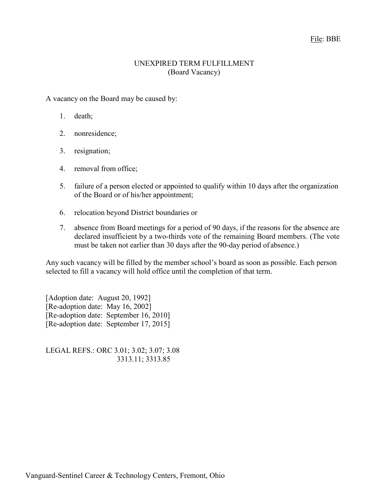### File: BBE

#### UNEXPIRED TERM FULFILLMENT (Board Vacancy)

A vacancy on the Board may be caused by:

- 1. death;
- 2. nonresidence;
- 3. resignation;
- 4. removal from office;
- 5. failure of a person elected or appointed to qualify within 10 days after the organization of the Board or of his/her appointment;
- 6. relocation beyond District boundaries or
- 7. absence from Board meetings for a period of 90 days, if the reasons for the absence are declared insufficient by a two-thirds vote of the remaining Board members. (The vote must be taken not earlier than 30 days after the 90-day period of absence.)

Any such vacancy will be filled by the member school's board as soon as possible. Each person selected to fill a vacancy will hold office until the completion of that term.

[Adoption date: August 20, 1992] [Re-adoption date: May 16, 2002] [Re-adoption date: September 16, 2010] [Re-adoption date: September 17, 2015]

LEGAL REFS.: ORC 3.01; 3.02; 3.07; 3.08 3313.11; 3313.85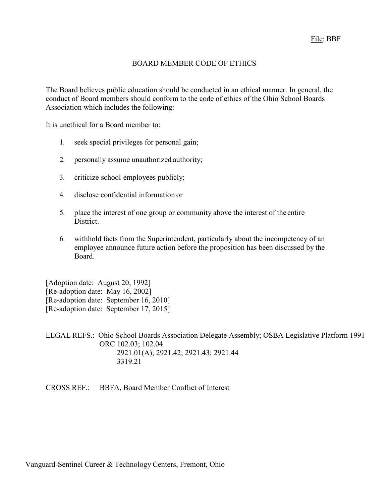# BOARD MEMBER CODE OF ETHICS

The Board believes public education should be conducted in an ethical manner. In general, the conduct of Board members should conform to the code of ethics of the Ohio School Boards Association which includes the following:

It is unethical for a Board member to:

- 1. seek special privileges for personal gain;
- 2. personally assume unauthorized authority;
- 3. criticize school employees publicly;
- 4. disclose confidential information or
- 5. place the interest of one group or community above the interest of the entire District.
- 6. withhold facts from the Superintendent, particularly about the incompetency of an employee announce future action before the proposition has been discussed by the Board.

[Adoption date: August 20, 1992] [Re-adoption date: May 16, 2002] [Re-adoption date: September 16, 2010] [Re-adoption date: September 17, 2015]

LEGAL REFS.: Ohio School Boards Association Delegate Assembly; OSBA Legislative Platform 1991 ORC 102.03; 102.04 2921.01(A); 2921.42; 2921.43; 2921.44 3319.21

CROSS REF.: BBFA, Board Member Conflict of Interest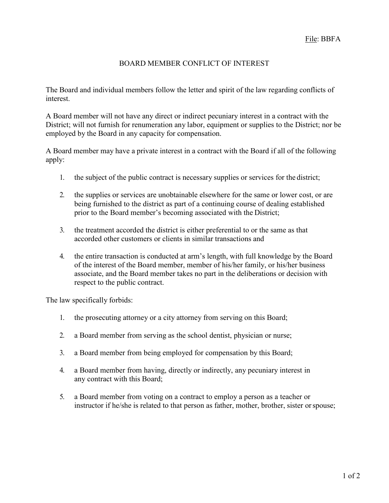## BOARD MEMBER CONFLICT OF INTEREST

The Board and individual members follow the letter and spirit of the law regarding conflicts of interest.

A Board member will not have any direct or indirect pecuniary interest in a contract with the District; will not furnish for renumeration any labor, equipment or supplies to the District; nor be employed by the Board in any capacity for compensation.

A Board member may have a private interest in a contract with the Board if all of the following apply:

- 1. the subject of the public contract is necessary supplies or services for the district;
- 2. the supplies or services are unobtainable elsewhere for the same or lower cost, or are being furnished to the district as part of a continuing course of dealing established prior to the Board member's becoming associated with the District;
- 3. the treatment accorded the district is either preferential to or the same as that accorded other customers or clients in similar transactions and
- 4. the entire transaction is conducted at arm's length, with full knowledge by the Board of the interest of the Board member, member of his/her family, or his/her business associate, and the Board member takes no part in the deliberations or decision with respect to the public contract.

The law specifically forbids:

- 1. the prosecuting attorney or a city attorney from serving on this Board;
- 2. a Board member from serving as the school dentist, physician or nurse;
- 3. a Board member from being employed for compensation by this Board;
- 4. a Board member from having, directly or indirectly, any pecuniary interest in any contract with this Board;
- 5. a Board member from voting on a contract to employ a person as a teacher or instructor if he/she is related to that person as father, mother, brother, sister orspouse;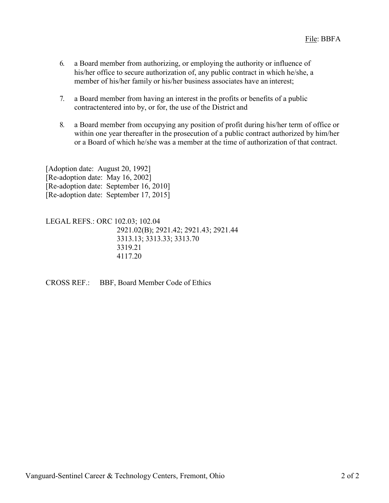- 6. a Board member from authorizing, or employing the authority or influence of his/her office to secure authorization of, any public contract in which he/she, a member of his/her family or his/her business associates have an interest;
- 7. a Board member from having an interest in the profits or benefits of a public contractentered into by, or for, the use of the District and
- 8. a Board member from occupying any position of profit during his/her term of office or within one year thereafter in the prosecution of a public contract authorized by him/her or a Board of which he/she was a member at the time of authorization of that contract.

[Adoption date: August 20, 1992] [Re-adoption date: May 16, 2002] [Re-adoption date: September 16, 2010] [Re-adoption date: September 17, 2015]

LEGAL REFS.: ORC 102.03; 102.04 2921.02(B); 2921.42; 2921.43; 2921.44 3313.13; 3313.33; 3313.70 3319.21 4117.20

CROSS REF.: BBF, Board Member Code of Ethics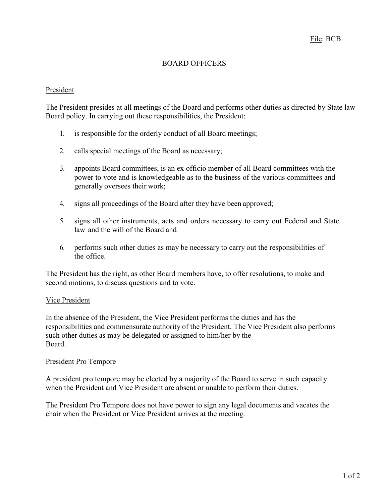# BOARD OFFICERS

### President

The President presides at all meetings of the Board and performs other duties as directed by State law Board policy. In carrying out these responsibilities, the President:

- 1. is responsible for the orderly conduct of all Board meetings;
- 2. calls special meetings of the Board as necessary;
- 3. appoints Board committees, is an ex officio member of all Board committees with the power to vote and is knowledgeable as to the business of the various committees and generally oversees their work;
- 4. signs all proceedings of the Board after they have been approved;
- 5. signs all other instruments, acts and orders necessary to carry out Federal and State law and the will of the Board and
- 6. performs such other duties as may be necessary to carry out the responsibilities of the office.

The President has the right, as other Board members have, to offer resolutions, to make and second motions, to discuss questions and to vote.

## Vice President

In the absence of the President, the Vice President performs the duties and has the responsibilities and commensurate authority of the President. The Vice President also performs such other duties as may be delegated or assigned to him/her by the Board.

### President Pro Tempore

A president pro tempore may be elected by a majority of the Board to serve in such capacity when the President and Vice President are absent or unable to perform their duties.

The President Pro Tempore does not have power to sign any legal documents and vacates the chair when the President or Vice President arrives at the meeting.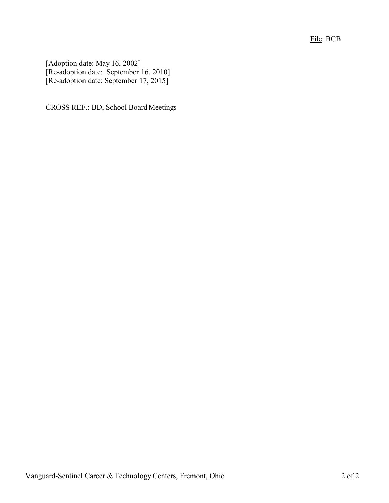File: BCB

[Adoption date: May 16, 2002] [Re-adoption date: September 16, 2010] [Re-adoption date: September 17, 2015]

CROSS REF.: BD, School Board Meetings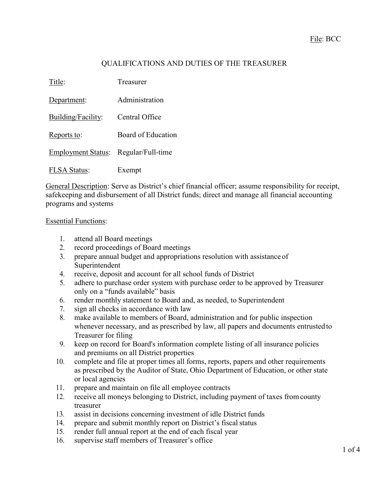# QUALIFICATIONS AND DUTIES OF THE TREASURER

| Title:                    | Treasurer          |
|---------------------------|--------------------|
| Department:               | Administration     |
| Building/Facility:        | Central Office     |
| Reports to:               | Board of Education |
| <b>Employment Status:</b> | Regular/Full-time  |
| <b>FLSA</b> Status:       | Exempt             |

General Description: Serve as District's chief financial officer; assume responsibility for receipt, safekeeping and disbursement of all District funds; direct and manage all financial accounting programs and systems

#### Essential Functions:

- 1. attend all Board meetings
- 2. record proceedings of Board meetings
- 3. prepare annual budget and appropriations resolution with assistance of Superintendent
- 4. receive, deposit and account for all school funds of District
- 5. adhere to purchase order system with purchase order to be approved by Treasurer only on a "funds available" basis
- 6. render monthly statement to Board and, as needed, to Superintendent
- 7. sign all checks in accordance with law
- 8. make available to members of Board, administration and for public inspection whenever necessary, and as prescribed by law, all papers and documents entrustedto Treasurer for filing
- 9. keep on record for Board's information complete listing of all insurance policies and premiums on all District properties
- 10. complete and file at proper times all forms, reports, papers and other requirements as prescribed by the Auditor of State, Ohio Department of Education, or other state or local agencies
- 11. prepare and maintain on file all employee contracts
- 12. receive all moneys belonging to District, including payment of taxes fromcounty treasurer
- 13. assist in decisions concerning investment of idle District funds
- 14. prepare and submit monthly report on District's fiscal status
- 15. render full annual report at the end of each fiscal year
- 16. supervise staff members of Treasurer's office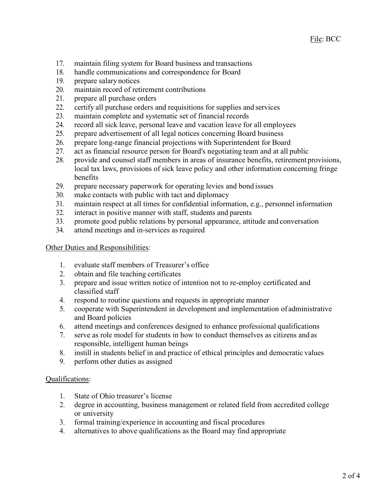- 17. maintain filing system for Board business and transactions
- 18. handle communications and correspondence for Board
- 19. prepare salary notices
- 20. maintain record of retirement contributions
- 21. prepare all purchase orders
- 22. certify all purchase orders and requisitions for supplies and services
- 23. maintain complete and systematic set of financial records
- 24. record all sick leave, personal leave and vacation leave for all employees
- 25. prepare advertisement of all legal notices concerning Board business
- 26. prepare long-range financial projections with Superintendent for Board
- 27. act as financial resource person for Board's negotiating team and at all public
- 28. provide and counsel staff members in areas of insurance benefits, retirement provisions, local tax laws, provisions of sick leave policy and other information concerning fringe benefits
- 29. prepare necessary paperwork for operating levies and bond issues
- 30. make contacts with public with tact and diplomacy
- 31. maintain respect at all times for confidential information, e.g., personnel information
- 32. interact in positive manner with staff, students and parents
- 33. promote good public relations by personal appearance, attitude and conversation
- 34. attend meetings and in-services as required

Other Duties and Responsibilities:

- 1. evaluate staff members of Treasurer's office
- 2. obtain and file teaching certificates
- 3. prepare and issue written notice of intention not to re-employ certificated and classified staff
- 4. respond to routine questions and requests in appropriate manner
- 5. cooperate with Superintendent in development and implementation of administrative and Board policies
- 6. attend meetings and conferences designed to enhance professional qualifications
- 7. serve as role model for students in how to conduct themselves as citizens and as responsible, intelligent human beings
- 8. instill in students belief in and practice of ethical principles and democratic values
- 9. perform other duties as assigned

### Qualifications:

- 1. State of Ohio treasurer's license
- 2. degree in accounting, business management or related field from accredited college or university
- 3. formal training/experience in accounting and fiscal procedures
- 4. alternatives to above qualifications as the Board may find appropriate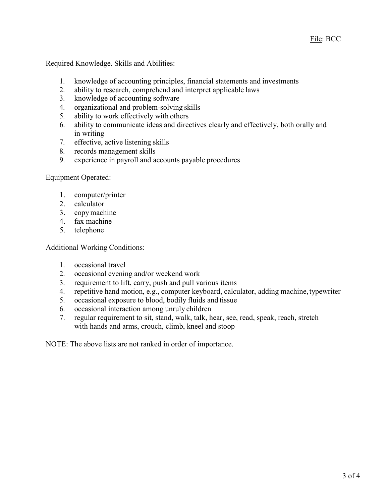Required Knowledge. Skills and Abilities:

- 1. knowledge of accounting principles, financial statements and investments
- 2. ability to research, comprehend and interpret applicable laws
- 3. knowledge of accounting software
- 4. organizational and problem-solving skills
- 5. ability to work effectively with others
- 6. ability to communicate ideas and directives clearly and effectively, both orally and in writing
- 7. effective, active listening skills
- 8. records management skills
- 9. experience in payroll and accounts payable procedures

### Equipment Operated:

- 1. computer/printer
- 2. calculator
- 3. copymachine
- 4. fax machine
- 5. telephone

### Additional Working Conditions:

- 1. occasional travel
- 2. occasional evening and/or weekend work
- 3. requirement to lift, carry, push and pull various items
- 4. repetitive hand motion, e.g., computer keyboard, calculator, adding machine,typewriter
- 5. occasional exposure to blood, bodily fluids and tissue
- 6. occasional interaction among unruly children
- 7. regular requirement to sit, stand, walk, talk, hear, see, read, speak, reach, stretch with hands and arms, crouch, climb, kneel and stoop

NOTE: The above lists are not ranked in order of importance.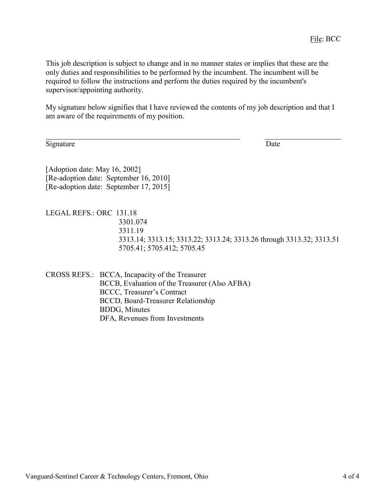This job description is subject to change and in no manner states or implies that these are the only duties and responsibilities to be performed by the incumbent. The incumbent will be required to follow the instructions and perform the duties required by the incumbent's supervisor/appointing authority.

My signature below signifies that I have reviewed the contents of my job description and that I am aware of the requirements of my position.

Signature Date

[Adoption date: May 16, 2002] [Re-adoption date: September 16, 2010] [Re-adoption date: September 17, 2015]

LEGAL REFS.: ORC 131.18 3301.074 3311.19 3313.14; 3313.15; 3313.22; 3313.24; 3313.26 through 3313.32; 3313.51 5705.41; 5705.412; 5705.45

CROSS REFS.: BCCA, Incapacity of the Treasurer BCCB, Evaluation of the Treasurer (Also AFBA) BCCC, Treasurer's Contract BCCD, Board-Treasurer Relationship BDDG, Minutes DFA, Revenues from Investments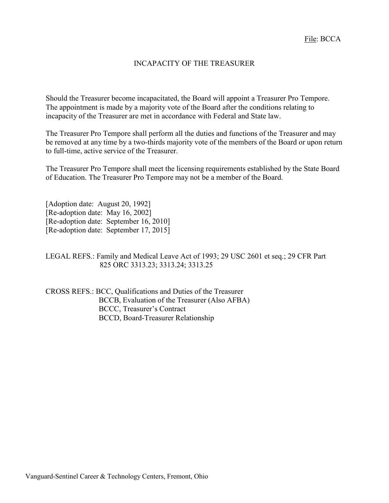### INCAPACITY OF THE TREASURER

Should the Treasurer become incapacitated, the Board will appoint a Treasurer Pro Tempore. The appointment is made by a majority vote of the Board after the conditions relating to incapacity of the Treasurer are met in accordance with Federal and State law.

The Treasurer Pro Tempore shall perform all the duties and functions of the Treasurer and may be removed at any time by a two-thirds majority vote of the members of the Board or upon return to full-time, active service of the Treasurer.

The Treasurer Pro Tempore shall meet the licensing requirements established by the State Board of Education. The Treasurer Pro Tempore may not be a member of the Board.

[Adoption date: August 20, 1992] [Re-adoption date: May 16, 2002] [Re-adoption date: September 16, 2010] [Re-adoption date: September 17, 2015]

LEGAL REFS.: Family and Medical Leave Act of 1993; 29 USC 2601 et seq.; 29 CFR Part 825 ORC 3313.23; 3313.24; 3313.25

CROSS REFS.: BCC, Qualifications and Duties of the Treasurer BCCB, Evaluation of the Treasurer (Also AFBA) BCCC, Treasurer's Contract BCCD, Board-Treasurer Relationship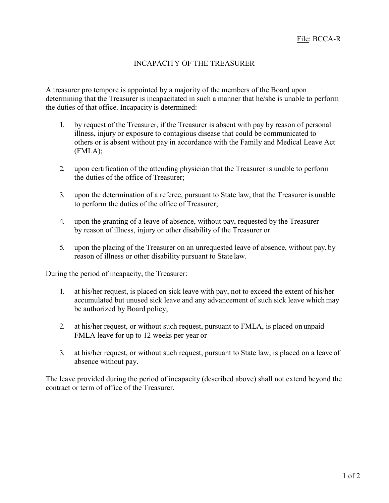# INCAPACITY OF THE TREASURER

A treasurer pro tempore is appointed by a majority of the members of the Board upon determining that the Treasurer is incapacitated in such a manner that he/she is unable to perform the duties of that office. Incapacity is determined:

- 1. by request of the Treasurer, if the Treasurer is absent with pay by reason of personal illness, injury or exposure to contagious disease that could be communicated to others or is absent without pay in accordance with the Family and Medical Leave Act (FMLA);
- 2. upon certification of the attending physician that the Treasurer is unable to perform the duties of the office of Treasurer;
- 3. upon the determination of a referee, pursuant to State law, that the Treasurer is unable to perform the duties of the office of Treasurer;
- 4. upon the granting of a leave of absence, without pay, requested by the Treasurer by reason of illness, injury or other disability of the Treasurer or
- 5. upon the placing of the Treasurer on an unrequested leave of absence, without pay, by reason of illness or other disability pursuant to State law.

During the period of incapacity, the Treasurer:

- 1. at his/her request, is placed on sick leave with pay, not to exceed the extent of his/her accumulated but unused sick leave and any advancement of such sick leave which may be authorized by Board policy;
- 2. at his/her request, or without such request, pursuant to FMLA, is placed on unpaid FMLA leave for up to 12 weeks per year or
- 3. at his/her request, or without such request, pursuant to State law, is placed on a leave of absence without pay.

The leave provided during the period of incapacity (described above) shall not extend beyond the contract or term of office of the Treasurer.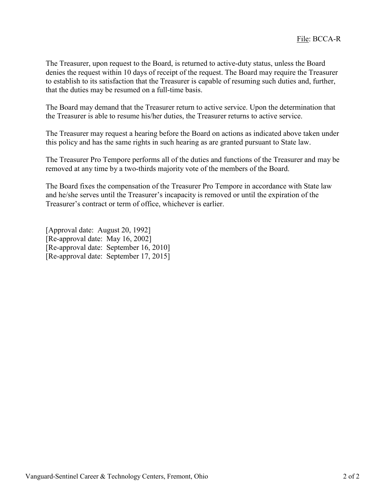The Treasurer, upon request to the Board, is returned to active-duty status, unless the Board denies the request within 10 days of receipt of the request. The Board may require the Treasurer to establish to its satisfaction that the Treasurer is capable of resuming such duties and, further, that the duties may be resumed on a full-time basis.

The Board may demand that the Treasurer return to active service. Upon the determination that the Treasurer is able to resume his/her duties, the Treasurer returns to active service.

The Treasurer may request a hearing before the Board on actions as indicated above taken under this policy and has the same rights in such hearing as are granted pursuant to State law.

The Treasurer Pro Tempore performs all of the duties and functions of the Treasurer and may be removed at any time by a two-thirds majority vote of the members of the Board.

The Board fixes the compensation of the Treasurer Pro Tempore in accordance with State law and he/she serves until the Treasurer's incapacity is removed or until the expiration of the Treasurer's contract or term of office, whichever is earlier.

[Approval date: August 20, 1992] [Re-approval date: May 16, 2002] [Re-approval date: September 16, 2010] [Re-approval date: September 17, 2015]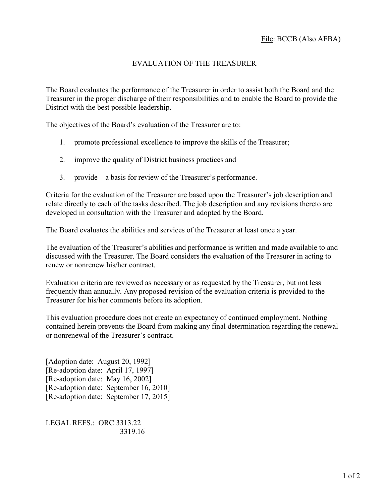# EVALUATION OF THE TREASURER

The Board evaluates the performance of the Treasurer in order to assist both the Board and the Treasurer in the proper discharge of their responsibilities and to enable the Board to provide the District with the best possible leadership.

The objectives of the Board's evaluation of the Treasurer are to:

- 1. promote professional excellence to improve the skills of the Treasurer;
- 2. improve the quality of District business practices and
- 3. provide a basis for review of the Treasurer's performance.

Criteria for the evaluation of the Treasurer are based upon the Treasurer's job description and relate directly to each of the tasks described. The job description and any revisions thereto are developed in consultation with the Treasurer and adopted by the Board.

The Board evaluates the abilities and services of the Treasurer at least once a year.

The evaluation of the Treasurer's abilities and performance is written and made available to and discussed with the Treasurer. The Board considers the evaluation of the Treasurer in acting to renew or nonrenew his/her contract.

Evaluation criteria are reviewed as necessary or as requested by the Treasurer, but not less frequently than annually. Any proposed revision of the evaluation criteria is provided to the Treasurer for his/her comments before its adoption.

This evaluation procedure does not create an expectancy of continued employment. Nothing contained herein prevents the Board from making any final determination regarding the renewal or nonrenewal of the Treasurer's contract.

[Adoption date: August 20, 1992] [Re-adoption date: April 17, 1997] [Re-adoption date: May 16, 2002] [Re-adoption date: September 16, 2010] [Re-adoption date: September 17, 2015]

LEGAL REFS.: ORC 3313.22 3319.16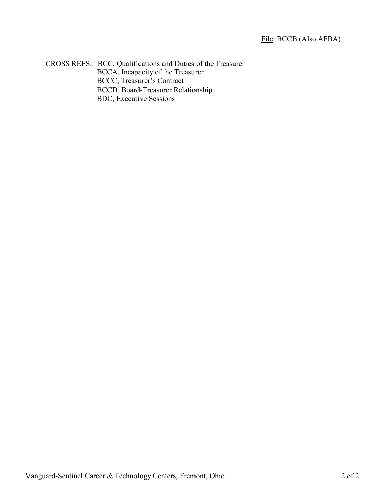CROSS REFS.: BCC, Qualifications and Duties of the Treasurer BCCA, Incapacity of the Treasurer BCCC, Treasurer's Contract BCCD, Board-Treasurer Relationship BDC, Executive Sessions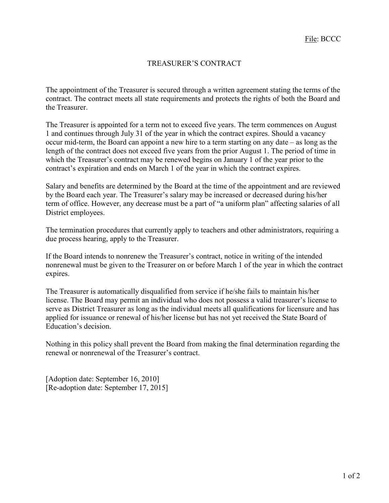# TREASURER'S CONTRACT

The appointment of the Treasurer is secured through a written agreement stating the terms of the contract. The contract meets all state requirements and protects the rights of both the Board and the Treasurer.

The Treasurer is appointed for a term not to exceed five years. The term commences on August 1 and continues through July 31 of the year in which the contract expires. Should a vacancy occur mid-term, the Board can appoint a new hire to a term starting on any date – as long as the length of the contract does not exceed five years from the prior August 1. The period of time in which the Treasurer's contract may be renewed begins on January 1 of the year prior to the contract's expiration and ends on March 1 of the year in which the contract expires.

Salary and benefits are determined by the Board at the time of the appointment and are reviewed by the Board each year. The Treasurer's salary may be increased or decreased during his/her term of office. However, any decrease must be a part of "a uniform plan" affecting salaries of all District employees.

The termination procedures that currently apply to teachers and other administrators, requiring a due process hearing, apply to the Treasurer.

If the Board intends to nonrenew the Treasurer's contract, notice in writing of the intended nonrenewal must be given to the Treasurer on or before March 1 of the year in which the contract expires.

The Treasurer is automatically disqualified from service if he/she fails to maintain his/her license. The Board may permit an individual who does not possess a valid treasurer's license to serve as District Treasurer as long as the individual meets all qualifications for licensure and has applied for issuance or renewal of his/her license but has not yet received the State Board of Education's decision.

Nothing in this policy shall prevent the Board from making the final determination regarding the renewal or nonrenewal of the Treasurer's contract.

[Adoption date: September 16, 2010] [Re-adoption date: September 17, 2015]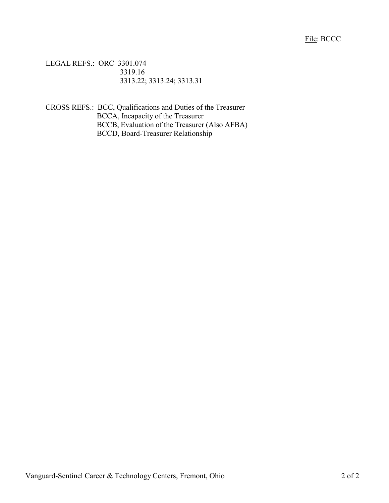LEGAL REFS.: ORC 3301.074 3319.16 3313.22; 3313.24; 3313.31

CROSS REFS.: BCC, Qualifications and Duties of the Treasurer BCCA, Incapacity of the Treasurer BCCB, Evaluation of the Treasurer (Also AFBA) BCCD, Board-Treasurer Relationship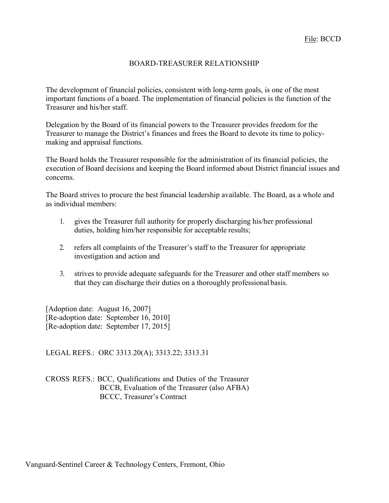### BOARD-TREASURER RELATIONSHIP

The development of financial policies, consistent with long-term goals, is one of the most important functions of a board. The implementation of financial policies is the function of the Treasurer and his/her staff.

Delegation by the Board of its financial powers to the Treasurer provides freedom for the Treasurer to manage the District's finances and frees the Board to devote its time to policymaking and appraisal functions.

The Board holds the Treasurer responsible for the administration of its financial policies, the execution of Board decisions and keeping the Board informed about District financial issues and concerns.

The Board strives to procure the best financial leadership available. The Board, as a whole and as individual members:

- 1. gives the Treasurer full authority for properly discharging his/her professional duties, holding him/her responsible for acceptable results;
- 2. refers all complaints of the Treasurer's staff to the Treasurer for appropriate investigation and action and
- 3. strives to provide adequate safeguards for the Treasurer and other staff members so that they can discharge their duties on a thoroughly professional basis.

[Adoption date: August 16, 2007] [Re-adoption date: September 16, 2010] [Re-adoption date: September 17, 2015]

LEGAL REFS.: ORC 3313.20(A); 3313.22; 3313.31

CROSS REFS.: BCC, Qualifications and Duties of the Treasurer BCCB, Evaluation of the Treasurer (also AFBA) BCCC, Treasurer's Contract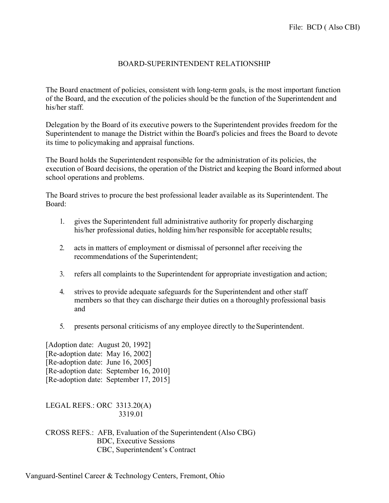### BOARD-SUPERINTENDENT RELATIONSHIP

The Board enactment of policies, consistent with long-term goals, is the most important function of the Board, and the execution of the policies should be the function of the Superintendent and his/her staff.

Delegation by the Board of its executive powers to the Superintendent provides freedom for the Superintendent to manage the District within the Board's policies and frees the Board to devote its time to policymaking and appraisal functions.

The Board holds the Superintendent responsible for the administration of its policies, the execution of Board decisions, the operation of the District and keeping the Board informed about school operations and problems.

The Board strives to procure the best professional leader available as its Superintendent. The Board:

- 1. gives the Superintendent full administrative authority for properly discharging his/her professional duties, holding him/her responsible for acceptable results;
- 2. acts in matters of employment or dismissal of personnel after receiving the recommendations of the Superintendent;
- 3. refers all complaints to the Superintendent for appropriate investigation and action;
- 4. strives to provide adequate safeguards for the Superintendent and other staff members so that they can discharge their duties on a thoroughly professional basis and
- 5. presents personal criticisms of any employee directly to theSuperintendent.

[Adoption date: August 20, 1992] [Re-adoption date: May 16, 2002] [Re-adoption date: June 16, 2005] [Re-adoption date: September 16, 2010] [Re-adoption date: September 17, 2015]

LEGAL REFS.: ORC 3313.20(A) 3319.01

CROSS REFS.: AFB, Evaluation of the Superintendent (Also CBG) BDC, Executive Sessions CBC, Superintendent's Contract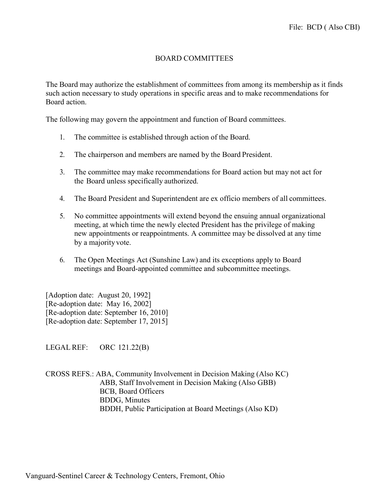## BOARD COMMITTEES

The Board may authorize the establishment of committees from among its membership as it finds such action necessary to study operations in specific areas and to make recommendations for Board action.

The following may govern the appointment and function of Board committees.

- 1. The committee is established through action of the Board.
- 2. The chairperson and members are named by the Board President.
- 3. The committee may make recommendations for Board action but may not act for the Board unless specifically authorized.
- 4. The Board President and Superintendent are ex officio members of all committees.
- 5. No committee appointments will extend beyond the ensuing annual organizational meeting, at which time the newly elected President has the privilege of making new appointments or reappointments. A committee may be dissolved at any time by a majority vote.
- 6. The Open Meetings Act (Sunshine Law) and its exceptions apply to Board meetings and Board-appointed committee and subcommittee meetings.

[Adoption date: August 20, 1992] [Re-adoption date: May 16, 2002] [Re-adoption date: September 16, 2010] [Re-adoption date: September 17, 2015]

LEGAL REF: ORC 121.22(B)

CROSS REFS.: ABA, Community Involvement in Decision Making (Also KC) ABB, Staff Involvement in Decision Making (Also GBB) BCB, Board Officers BDDG, Minutes BDDH, Public Participation at Board Meetings (Also KD)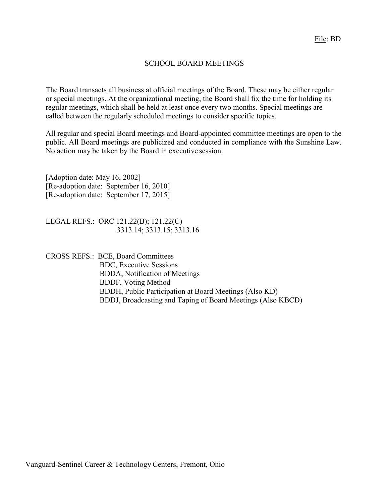### SCHOOL BOARD MEETINGS

The Board transacts all business at official meetings of the Board. These may be either regular or special meetings. At the organizational meeting, the Board shall fix the time for holding its regular meetings, which shall be held at least once every two months. Special meetings are called between the regularly scheduled meetings to consider specific topics.

All regular and special Board meetings and Board-appointed committee meetings are open to the public. All Board meetings are publicized and conducted in compliance with the Sunshine Law. No action may be taken by the Board in executive session.

[Adoption date: May 16, 2002] [Re-adoption date: September 16, 2010] [Re-adoption date: September 17, 2015]

LEGAL REFS.: ORC 121.22(B); 121.22(C) 3313.14; 3313.15; 3313.16

CROSS REFS.: BCE, Board Committees BDC, Executive Sessions BDDA, Notification of Meetings BDDF, Voting Method BDDH, Public Participation at Board Meetings (Also KD) BDDJ, Broadcasting and Taping of Board Meetings (Also KBCD)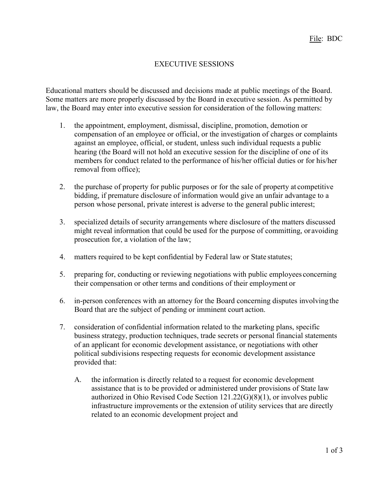# EXECUTIVE SESSIONS

Educational matters should be discussed and decisions made at public meetings of the Board. Some matters are more properly discussed by the Board in executive session. As permitted by law, the Board may enter into executive session for consideration of the following matters:

- 1. the appointment, employment, dismissal, discipline, promotion, demotion or compensation of an employee or official, or the investigation of charges or complaints against an employee, official, or student, unless such individual requests a public hearing (the Board will not hold an executive session for the discipline of one of its members for conduct related to the performance of his/her official duties or for his/her removal from office);
- 2. the purchase of property for public purposes or for the sale of property at competitive bidding, if premature disclosure of information would give an unfair advantage to a person whose personal, private interest is adverse to the general public interest;
- 3. specialized details of security arrangements where disclosure of the matters discussed might reveal information that could be used for the purpose of committing, or avoiding prosecution for, a violation of the law;
- 4. matters required to be kept confidential by Federal law or State statutes;
- 5. preparing for, conducting or reviewing negotiations with public employees concerning their compensation or other terms and conditions of their employment or
- 6. in-person conferences with an attorney for the Board concerning disputes involvingthe Board that are the subject of pending or imminent court action.
- 7. consideration of confidential information related to the marketing plans, specific business strategy, production techniques, trade secrets or personal financial statements of an applicant for economic development assistance, or negotiations with other political subdivisions respecting requests for economic development assistance provided that:
	- A. the information is directly related to a request for economic development assistance that is to be provided or administered under provisions of State law authorized in Ohio Revised Code Section 121.22(G)(8)(1), or involves public infrastructure improvements or the extension of utility services that are directly related to an economic development project and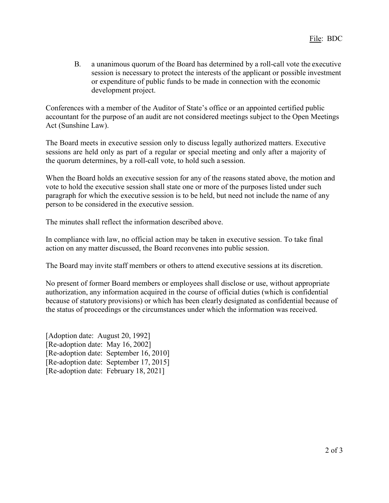B. a unanimous quorum of the Board has determined by a roll-call vote the executive session is necessary to protect the interests of the applicant or possible investment or expenditure of public funds to be made in connection with the economic development project.

Conferences with a member of the Auditor of State's office or an appointed certified public accountant for the purpose of an audit are not considered meetings subject to the Open Meetings Act (Sunshine Law).

The Board meets in executive session only to discuss legally authorized matters. Executive sessions are held only as part of a regular or special meeting and only after a majority of the quorum determines, by a roll-call vote, to hold such a session.

When the Board holds an executive session for any of the reasons stated above, the motion and vote to hold the executive session shall state one or more of the purposes listed under such paragraph for which the executive session is to be held, but need not include the name of any person to be considered in the executive session.

The minutes shall reflect the information described above.

In compliance with law, no official action may be taken in executive session. To take final action on any matter discussed, the Board reconvenes into public session.

The Board may invite staff members or others to attend executive sessions at its discretion.

No present of former Board members or employees shall disclose or use, without appropriate authorization, any information acquired in the course of official duties (which is confidential because of statutory provisions) or which has been clearly designated as confidential because of the status of proceedings or the circumstances under which the information was received.

[Adoption date: August 20, 1992] [Re-adoption date: May 16, 2002] [Re-adoption date: September 16, 2010] [Re-adoption date: September 17, 2015] [Re-adoption date: February 18, 2021]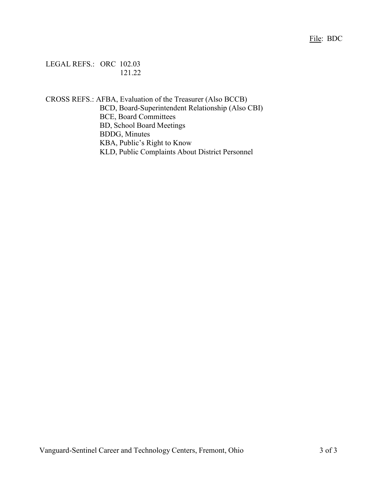File: BDC

LEGAL REFS.: ORC 102.03 121.22

CROSS REFS.: AFBA, Evaluation of the Treasurer (Also BCCB) BCD, Board-Superintendent Relationship (Also CBI) BCE, Board Committees BD, School Board Meetings BDDG, Minutes KBA, Public's Right to Know KLD, Public Complaints About District Personnel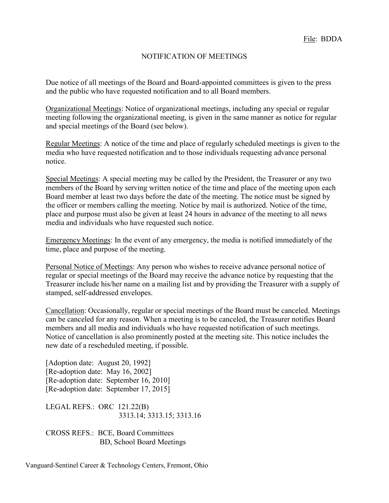#### NOTIFICATION OF MEETINGS

Due notice of all meetings of the Board and Board-appointed committees is given to the press and the public who have requested notification and to all Board members.

Organizational Meetings: Notice of organizational meetings, including any special or regular meeting following the organizational meeting, is given in the same manner as notice for regular and special meetings of the Board (see below).

Regular Meetings: A notice of the time and place of regularly scheduled meetings is given to the media who have requested notification and to those individuals requesting advance personal notice.

Special Meetings: A special meeting may be called by the President, the Treasurer or any two members of the Board by serving written notice of the time and place of the meeting upon each Board member at least two days before the date of the meeting. The notice must be signed by the officer or members calling the meeting. Notice by mail is authorized. Notice of the time, place and purpose must also be given at least 24 hours in advance of the meeting to all news media and individuals who have requested such notice.

Emergency Meetings: In the event of any emergency, the media is notified immediately of the time, place and purpose of the meeting.

Personal Notice of Meetings: Any person who wishes to receive advance personal notice of regular or special meetings of the Board may receive the advance notice by requesting that the Treasurer include his/her name on a mailing list and by providing the Treasurer with a supply of stamped, self-addressed envelopes.

Cancellation: Occasionally, regular or special meetings of the Board must be canceled. Meetings can be canceled for any reason. When a meeting is to be canceled, the Treasurer notifies Board members and all media and individuals who have requested notification of such meetings. Notice of cancellation is also prominently posted at the meeting site. This notice includes the new date of a rescheduled meeting, if possible.

[Adoption date: August 20, 1992] [Re-adoption date: May 16, 2002] [Re-adoption date: September 16, 2010] [Re-adoption date: September 17, 2015]

LEGAL REFS.: ORC 121.22(B) 3313.14; 3313.15; 3313.16

CROSS REFS.: BCE, Board Committees BD, School Board Meetings

Vanguard-Sentinel Career & Technology Centers, Fremont, Ohio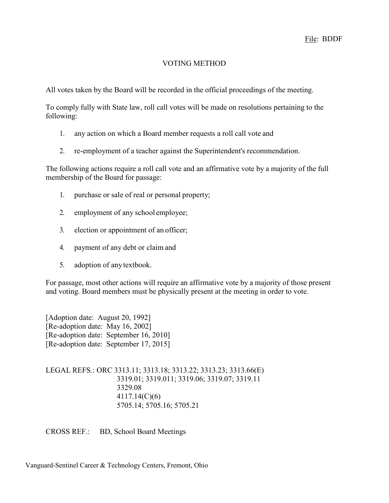# VOTING METHOD

All votes taken by the Board will be recorded in the official proceedings of the meeting.

To comply fully with State law, roll call votes will be made on resolutions pertaining to the following:

- 1. any action on which a Board member requests a roll call vote and
- 2. re-employment of a teacher against the Superintendent's recommendation.

The following actions require a roll call vote and an affirmative vote by a majority of the full membership of the Board for passage:

- 1. purchase or sale of real or personal property;
- 2. employment of any school employee;
- 3. election or appointment of an officer;
- 4. payment of any debt or claim and
- 5. adoption of anytextbook.

For passage, most other actions will require an affirmative vote by a majority of those present and voting. Board members must be physically present at the meeting in order to vote.

[Adoption date: August 20, 1992] [Re-adoption date: May 16, 2002] [Re-adoption date: September 16, 2010] [Re-adoption date: September 17, 2015]

LEGAL REFS.: ORC 3313.11; 3313.18; 3313.22; 3313.23; 3313.66(E) 3319.01; 3319.011; 3319.06; 3319.07; 3319.11 3329.08 4117.14(C)(6) 5705.14; 5705.16; 5705.21

CROSS REF.: BD, School Board Meetings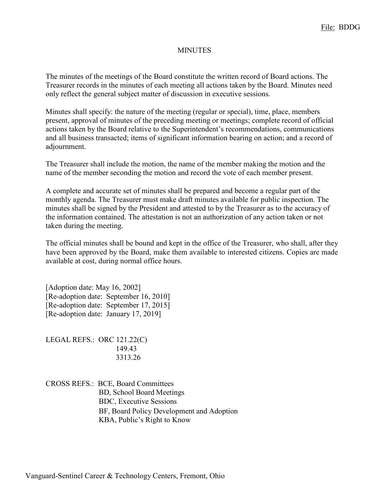#### **MINUTES**

The minutes of the meetings of the Board constitute the written record of Board actions. The Treasurer records in the minutes of each meeting all actions taken by the Board. Minutes need only reflect the general subject matter of discussion in executive sessions.

Minutes shall specify: the nature of the meeting (regular or special), time, place, members present, approval of minutes of the preceding meeting or meetings; complete record of official actions taken by the Board relative to the Superintendent's recommendations, communications and all business transacted; items of significant information bearing on action; and a record of adjournment.

The Treasurer shall include the motion, the name of the member making the motion and the name of the member seconding the motion and record the vote of each member present.

A complete and accurate set of minutes shall be prepared and become a regular part of the monthly agenda. The Treasurer must make draft minutes available for public inspection. The minutes shall be signed by the President and attested to by the Treasurer as to the accuracy of the information contained. The attestation is not an authorization of any action taken or not taken during the meeting.

The official minutes shall be bound and kept in the office of the Treasurer, who shall, after they have been approved by the Board, make them available to interested citizens. Copies are made available at cost, during normal office hours.

[Adoption date: May 16, 2002] [Re-adoption date: September 16, 2010] [Re-adoption date: September 17, 2015] [Re-adoption date: January 17, 2019]

LEGAL REFS.: ORC 121.22(C) 149.43 3313.26

CROSS REFS.: BCE, Board Committees BD, School Board Meetings BDC, Executive Sessions BF, Board Policy Development and Adoption KBA, Public's Right to Know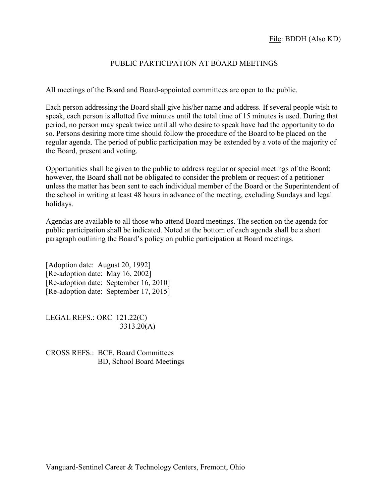## PUBLIC PARTICIPATION AT BOARD MEETINGS

All meetings of the Board and Board-appointed committees are open to the public.

Each person addressing the Board shall give his/her name and address. If several people wish to speak, each person is allotted five minutes until the total time of 15 minutes is used. During that period, no person may speak twice until all who desire to speak have had the opportunity to do so. Persons desiring more time should follow the procedure of the Board to be placed on the regular agenda. The period of public participation may be extended by a vote of the majority of the Board, present and voting.

Opportunities shall be given to the public to address regular or special meetings of the Board; however, the Board shall not be obligated to consider the problem or request of a petitioner unless the matter has been sent to each individual member of the Board or the Superintendent of the school in writing at least 48 hours in advance of the meeting, excluding Sundays and legal holidays.

Agendas are available to all those who attend Board meetings. The section on the agenda for public participation shall be indicated. Noted at the bottom of each agenda shall be a short paragraph outlining the Board's policy on public participation at Board meetings.

[Adoption date: August 20, 1992] [Re-adoption date: May 16, 2002] [Re-adoption date: September 16, 2010] [Re-adoption date: September 17, 2015]

LEGAL REFS.: ORC 121.22(C) 3313.20(A)

CROSS REFS.: BCE, Board Committees BD, School Board Meetings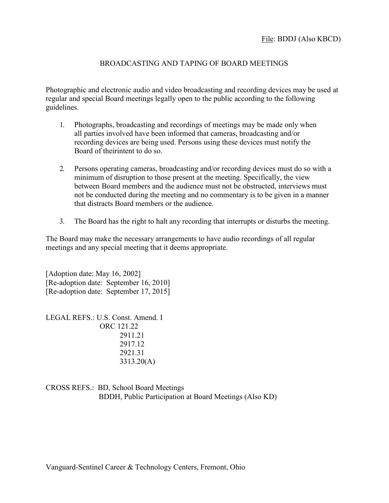# BROADCASTING AND TAPING OF BOARD MEETINGS

Photographic and electronic audio and video broadcasting and recording devices may be used at regular and special Board meetings legally open to the public according to the following guidelines.

- 1. Photographs, broadcasting and recordings of meetings may be made only when all parties involved have been informed that cameras, broadcasting and/or recording devices are being used. Persons using these devices must notify the Board of theirintent to do so.
- 2. Persons operating cameras, broadcasting and/or recording devices must do so with a minimum of disruption to those present at the meeting. Specifically, the view between Board members and the audience must not be obstructed, interviews must not be conducted during the meeting and no commentary is to be given in a manner that distracts Board members or the audience.
- 3. The Board has the right to halt any recording that interrupts or disturbs the meeting.

The Board may make the necessary arrangements to have audio recordings of all regular meetings and any special meeting that it deems appropriate.

[Adoption date: May 16, 2002] [Re-adoption date: September 16, 2010] [Re-adoption date: September 17, 2015]

LEGAL REFS.: U.S. Const. Amend. I ORC 121.22 2911.21 2917.12 2921.31 3313.20(A)

CROSS REFS.: BD, School Board Meetings BDDH, Public Participation at Board Meetings (Also KD)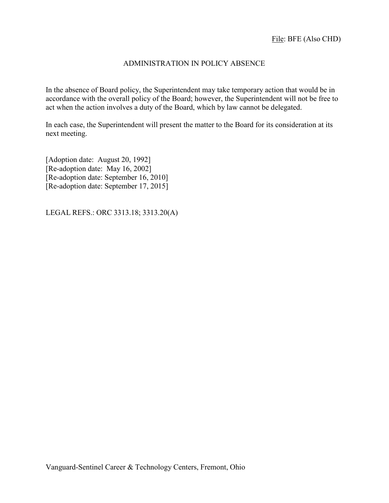## ADMINISTRATION IN POLICY ABSENCE

In the absence of Board policy, the Superintendent may take temporary action that would be in accordance with the overall policy of the Board; however, the Superintendent will not be free to act when the action involves a duty of the Board, which by law cannot be delegated.

In each case, the Superintendent will present the matter to the Board for its consideration at its next meeting.

[Adoption date: August 20, 1992] [Re-adoption date: May 16, 2002] [Re-adoption date: September 16, 2010] [Re-adoption date: September 17, 2015]

LEGAL REFS.: ORC 3313.18; 3313.20(A)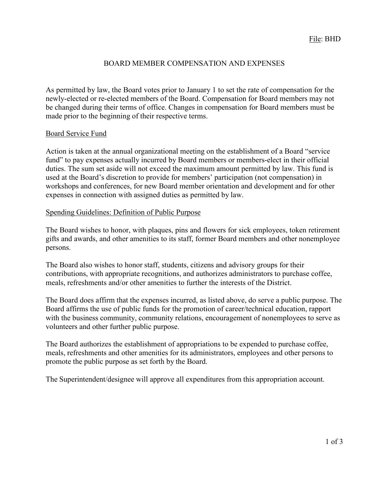### BOARD MEMBER COMPENSATION AND EXPENSES

As permitted by law, the Board votes prior to January 1 to set the rate of compensation for the newly-elected or re-elected members of the Board. Compensation for Board members may not be changed during their terms of office. Changes in compensation for Board members must be made prior to the beginning of their respective terms.

#### Board Service Fund

Action is taken at the annual organizational meeting on the establishment of a Board "service fund" to pay expenses actually incurred by Board members or members-elect in their official duties. The sum set aside will not exceed the maximum amount permitted by law. This fund is used at the Board's discretion to provide for members' participation (not compensation) in workshops and conferences, for new Board member orientation and development and for other expenses in connection with assigned duties as permitted by law.

#### Spending Guidelines: Definition of Public Purpose

The Board wishes to honor, with plaques, pins and flowers for sick employees, token retirement gifts and awards, and other amenities to its staff, former Board members and other nonemployee persons.

The Board also wishes to honor staff, students, citizens and advisory groups for their contributions, with appropriate recognitions, and authorizes administrators to purchase coffee, meals, refreshments and/or other amenities to further the interests of the District.

The Board does affirm that the expenses incurred, as listed above, do serve a public purpose. The Board affirms the use of public funds for the promotion of career/technical education, rapport with the business community, community relations, encouragement of nonemployees to serve as volunteers and other further public purpose.

The Board authorizes the establishment of appropriations to be expended to purchase coffee, meals, refreshments and other amenities for its administrators, employees and other persons to promote the public purpose as set forth by the Board.

The Superintendent/designee will approve all expenditures from this appropriation account.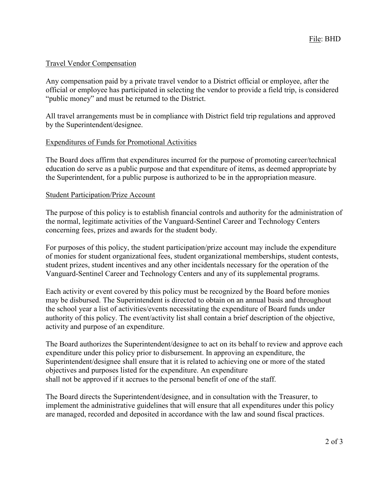### Travel Vendor Compensation

Any compensation paid by a private travel vendor to a District official or employee, after the official or employee has participated in selecting the vendor to provide a field trip, is considered "public money" and must be returned to the District.

All travel arrangements must be in compliance with District field trip regulations and approved by the Superintendent/designee.

### Expenditures of Funds for Promotional Activities

The Board does affirm that expenditures incurred for the purpose of promoting career/technical education do serve as a public purpose and that expenditure of items, as deemed appropriate by the Superintendent, for a public purpose is authorized to be in the appropriation measure.

### Student Participation/Prize Account

The purpose of this policy is to establish financial controls and authority for the administration of the normal, legitimate activities of the Vanguard-Sentinel Career and Technology Centers concerning fees, prizes and awards for the student body.

For purposes of this policy, the student participation/prize account may include the expenditure of monies for student organizational fees, student organizational memberships, student contests, student prizes, student incentives and any other incidentals necessary for the operation of the Vanguard-Sentinel Career and Technology Centers and any of its supplemental programs.

Each activity or event covered by this policy must be recognized by the Board before monies may be disbursed. The Superintendent is directed to obtain on an annual basis and throughout the school year a list of activities/events necessitating the expenditure of Board funds under authority of this policy. The event/activity list shall contain a brief description of the objective, activity and purpose of an expenditure.

The Board authorizes the Superintendent/designee to act on its behalf to review and approve each expenditure under this policy prior to disbursement. In approving an expenditure, the Superintendent/designee shall ensure that it is related to achieving one or more of the stated objectives and purposes listed for the expenditure. An expenditure shall not be approved if it accrues to the personal benefit of one of the staff.

The Board directs the Superintendent/designee, and in consultation with the Treasurer, to implement the administrative guidelines that will ensure that all expenditures under this policy are managed, recorded and deposited in accordance with the law and sound fiscal practices.